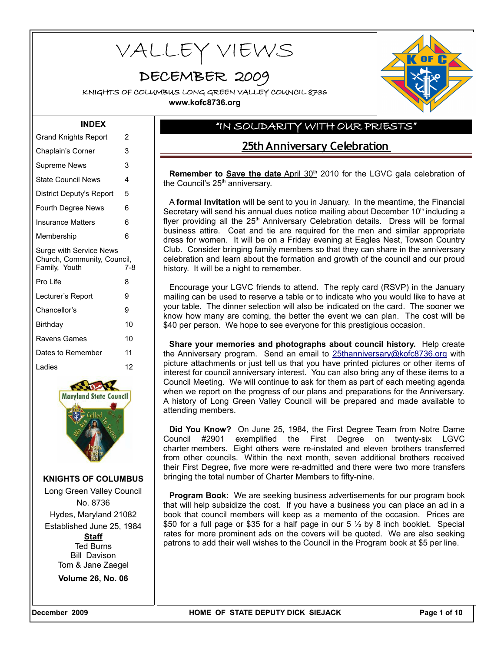VALLEY VIEWS

# DECEMBER 2009

KNIGHTS OF COLUMBUS LONG GREEN VALLEY COUNCIL 8736

**www.kofc8736.org**

### **INDEX**

| <b>Grand Knights Report</b>                  | 2   |
|----------------------------------------------|-----|
| Chaplain's Corner                            | 3   |
| Supreme News                                 | 3   |
| <b>State Council News</b>                    | 4   |
| District Deputy's Report                     | 5   |
| <b>Fourth Degree News</b>                    | 6   |
| Insurance Matters                            | 6   |
| Membership                                   | 6   |
| Surge with Service News                      |     |
| Church, Community, Council,<br>Family, Youth | 7-8 |
| Pro Life                                     | 8   |
| Lecturer's Report                            | 9   |
| Chancellor's                                 | 9   |
| Birthday                                     | 10  |
| Ravens Games                                 | 10  |
| Dates to Remember                            | 11  |
| Ladies                                       | 12  |



**KNIGHTS OF COLUMBUS**

Long Green Valley Council No. 8736 Hydes, Maryland 21082 Established June 25, 1984 **Staff** Ted Burns Bill Davison Tom & Jane Zaegel

**Volume 26, No. 06**

# "IN SOLIDARITY WITH OUR PRIESTS"

# **25th Anniversary Celebration**

Remember to **Save the date** April 30<sup>th</sup> 2010 for the LGVC gala celebration of the Council's 25<sup>th</sup> anniversary.

A **formal Invitation** will be sent to you in January. In the meantime, the Financial Secretary will send his annual dues notice mailing about December 10<sup>th</sup> including a flyer providing all the  $25<sup>th</sup>$  Anniversary Celebration details. Dress will be formal business attire. Coat and tie are required for the men and similar appropriate dress for women. It will be on a Friday evening at Eagles Nest, Towson Country Club. Consider bringing family members so that they can share in the anniversary celebration and learn about the formation and growth of the council and our proud history. It will be a night to remember.

Encourage your LGVC friends to attend. The reply card (RSVP) in the January mailing can be used to reserve a table or to indicate who you would like to have at your table. The dinner selection will also be indicated on the card. The sooner we know how many are coming, the better the event we can plan. The cost will be \$40 per person. We hope to see everyone for this prestigious occasion.

**Share your memories and photographs about council history.** Help create the Anniversary program. Send an email to [25thanniversary@kofc8736.org](mailto:25thanniversary@kofc8736.org) with picture attachments or just tell us that you have printed pictures or other items of interest for council anniversary interest. You can also bring any of these items to a Council Meeting. We will continue to ask for them as part of each meeting agenda when we report on the progress of our plans and preparations for the Anniversary. A history of Long Green Valley Council will be prepared and made available to attending members.

**Did You Know?** On June 25, 1984, the First Degree Team from Notre Dame Council #2901 exemplified the First Degree on twenty-six LGVC charter members. Eight others were re-instated and eleven brothers transferred from other councils. Within the next month, seven additional brothers received their First Degree, five more were re-admitted and there were two more transfers bringing the total number of Charter Members to fifty-nine.

**Program Book:** We are seeking business advertisements for our program book that will help subsidize the cost. If you have a business you can place an ad in a book that council members will keep as a memento of the occasion. Prices are \$50 for a full page or \$35 for a half page in our 5  $\frac{1}{2}$  by 8 inch booklet. Special rates for more prominent ads on the covers will be quoted. We are also seeking patrons to add their well wishes to the Council in the Program book at \$5 per line.

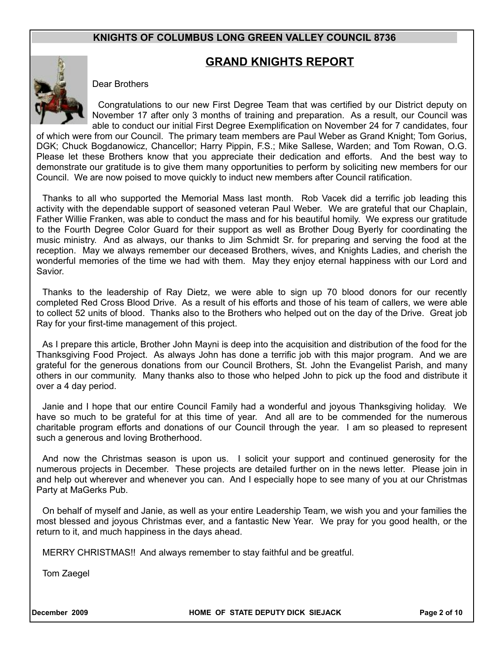# **GRAND KNIGHTS REPORT**



Dear Brothers

Congratulations to our new First Degree Team that was certified by our District deputy on November 17 after only 3 months of training and preparation. As a result, our Council was able to conduct our initial First Degree Exemplification on November 24 for 7 candidates, four

of which were from our Council. The primary team members are Paul Weber as Grand Knight; Tom Gorius, DGK; Chuck Bogdanowicz, Chancellor; Harry Pippin, F.S.; Mike Sallese, Warden; and Tom Rowan, O.G. Please let these Brothers know that you appreciate their dedication and efforts. And the best way to demonstrate our gratitude is to give them many opportunities to perform by soliciting new members for our Council. We are now poised to move quickly to induct new members after Council ratification.

Thanks to all who supported the Memorial Mass last month. Rob Vacek did a terrific job leading this activity with the dependable support of seasoned veteran Paul Weber. We are grateful that our Chaplain, Father Willie Franken, was able to conduct the mass and for his beautiful homily. We express our gratitude to the Fourth Degree Color Guard for their support as well as Brother Doug Byerly for coordinating the music ministry. And as always, our thanks to Jim Schmidt Sr. for preparing and serving the food at the reception. May we always remember our deceased Brothers, wives, and Knights Ladies, and cherish the wonderful memories of the time we had with them. May they enjoy eternal happiness with our Lord and Savior.

Thanks to the leadership of Ray Dietz, we were able to sign up 70 blood donors for our recently completed Red Cross Blood Drive. As a result of his efforts and those of his team of callers, we were able to collect 52 units of blood. Thanks also to the Brothers who helped out on the day of the Drive. Great job Ray for your first-time management of this project.

As I prepare this article, Brother John Mayni is deep into the acquisition and distribution of the food for the Thanksgiving Food Project. As always John has done a terrific job with this major program. And we are grateful for the generous donations from our Council Brothers, St. John the Evangelist Parish, and many others in our community. Many thanks also to those who helped John to pick up the food and distribute it over a 4 day period.

Janie and I hope that our entire Council Family had a wonderful and joyous Thanksgiving holiday. We have so much to be grateful for at this time of year. And all are to be commended for the numerous charitable program efforts and donations of our Council through the year. I am so pleased to represent such a generous and loving Brotherhood.

And now the Christmas season is upon us. I solicit your support and continued generosity for the numerous projects in December. These projects are detailed further on in the news letter. Please join in and help out wherever and whenever you can. And I especially hope to see many of you at our Christmas Party at MaGerks Pub.

On behalf of myself and Janie, as well as your entire Leadership Team, we wish you and your families the most blessed and joyous Christmas ever, and a fantastic New Year. We pray for you good health, or the return to it, and much happiness in the days ahead.

MERRY CHRISTMAS!! And always remember to stay faithful and be greatful.

Tom Zaegel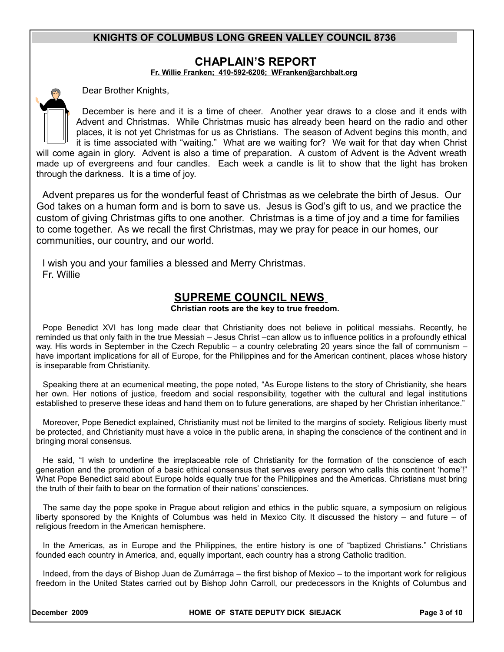## **CHAPLAIN'S REPORT**

**Fr. Willie Franken; 410-592-6206; [WFranken@archbalt.org](mailto:WFranken@archbalt.org)**

Dear Brother Knights,

December is here and it is a time of cheer. Another year draws to a close and it ends with Advent and Christmas. While Christmas music has already been heard on the radio and other places, it is not yet Christmas for us as Christians. The season of Advent begins this month, and it is time associated with "waiting." What are we waiting for? We wait for that day when Christ will come again in glory. Advent is also a time of preparation. A custom of Advent is the Advent wreath made up of evergreens and four candles. Each week a candle is lit to show that the light has broken through the darkness. It is a time of joy.

Advent prepares us for the wonderful feast of Christmas as we celebrate the birth of Jesus. Our God takes on a human form and is born to save us. Jesus is God's gift to us, and we practice the custom of giving Christmas gifts to one another. Christmas is a time of joy and a time for families to come together. As we recall the first Christmas, may we pray for peace in our homes, our communities, our country, and our world.

I wish you and your families a blessed and Merry Christmas. Fr. Willie

# **SUPREME COUNCIL NEWS**

### **Christian roots are the key to true freedom.**

Pope Benedict XVI has long made clear that Christianity does not believe in political messiahs. Recently, he reminded us that only faith in the true Messiah – Jesus Christ –can allow us to influence politics in a profoundly ethical way. His words in September in the Czech Republic – a country celebrating 20 years since the fall of communism – have important implications for all of Europe, for the Philippines and for the American continent, places whose history is inseparable from Christianity.

Speaking there at an ecumenical meeting, the pope noted, "As Europe listens to the story of Christianity, she hears her own. Her notions of justice, freedom and social responsibility, together with the cultural and legal institutions established to preserve these ideas and hand them on to future generations, are shaped by her Christian inheritance."

Moreover, Pope Benedict explained, Christianity must not be limited to the margins of society. Religious liberty must be protected, and Christianity must have a voice in the public arena, in shaping the conscience of the continent and in bringing moral consensus.

He said, "I wish to underline the irreplaceable role of Christianity for the formation of the conscience of each generation and the promotion of a basic ethical consensus that serves every person who calls this continent 'home'!" What Pope Benedict said about Europe holds equally true for the Philippines and the Americas. Christians must bring the truth of their faith to bear on the formation of their nations' consciences.

The same day the pope spoke in Prague about religion and ethics in the public square, a symposium on religious liberty sponsored by the Knights of Columbus was held in Mexico City. It discussed the history – and future – of religious freedom in the American hemisphere.

In the Americas, as in Europe and the Philippines, the entire history is one of "baptized Christians." Christians founded each country in America, and, equally important, each country has a strong Catholic tradition.

Indeed, from the days of Bishop Juan de Zumárraga – the first bishop of Mexico – to the important work for religious freedom in the United States carried out by Bishop John Carroll, our predecessors in the Knights of Columbus and

**December 2009 HOME OF STATE DEPUTY DICK SIEJACK Page 3 of 10**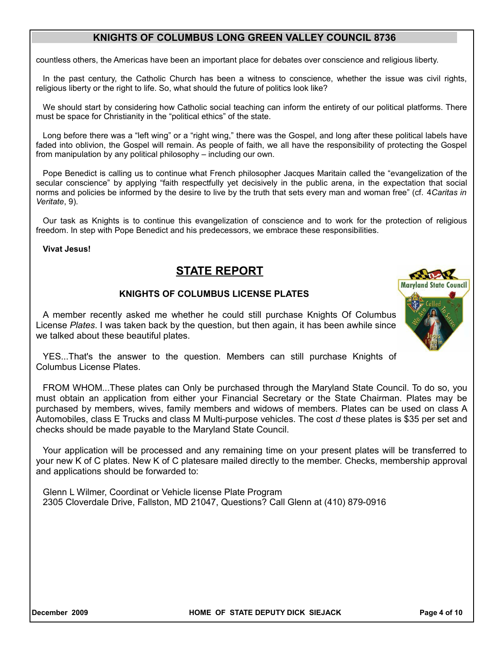countless others, the Americas have been an important place for debates over conscience and religious liberty.

In the past century, the Catholic Church has been a witness to conscience, whether the issue was civil rights, religious liberty or the right to life. So, what should the future of politics look like?

We should start by considering how Catholic social teaching can inform the entirety of our political platforms. There must be space for Christianity in the "political ethics" of the state.

Long before there was a "left wing" or a "right wing," there was the Gospel, and long after these political labels have faded into oblivion, the Gospel will remain. As people of faith, we all have the responsibility of protecting the Gospel from manipulation by any political philosophy – including our own.

Pope Benedict is calling us to continue what French philosopher Jacques Maritain called the "evangelization of the secular conscience" by applying "faith respectfully yet decisively in the public arena, in the expectation that social norms and policies be informed by the desire to live by the truth that sets every man and woman free" (cf. 4*Caritas in Veritate*, 9).

Our task as Knights is to continue this evangelization of conscience and to work for the protection of religious freedom. In step with Pope Benedict and his predecessors, we embrace these responsibilities.

### **Vivat Jesus!**

# **STATE REPORT**

### **KNIGHTS OF COLUMBUS LICENSE PLATES**

A member recently asked me whether he could still purchase Knights Of Columbus License *Plates*. I was taken back by the question, but then again, it has been awhile since we talked about these beautiful plates.



YES...That's the answer to the question. Members can still purchase Knights of Columbus License Plates.

FROM WHOM...These plates can Only be purchased through the Maryland State Council. To do so, you must obtain an application from either your Financial Secretary or the State Chairman. Plates may be purchased by members, wives, family members and widows of members. Plates can be used on class A Automobiles, class E Trucks and class M Multi-purpose vehicles. The cost *d* these plates is \$35 per set and checks should be made payable to the Maryland State Council.

Your application will be processed and any remaining time on your present plates will be transferred to your new K of C plates. New K of C platesare mailed directly to the member. Checks, membership approval and applications should be forwarded to:

Glenn L Wilmer, Coordinat or Vehicle license Plate Program 2305 Cloverdale Drive, Fallston, MD 21047, Questions? Call Glenn at (410) 879-0916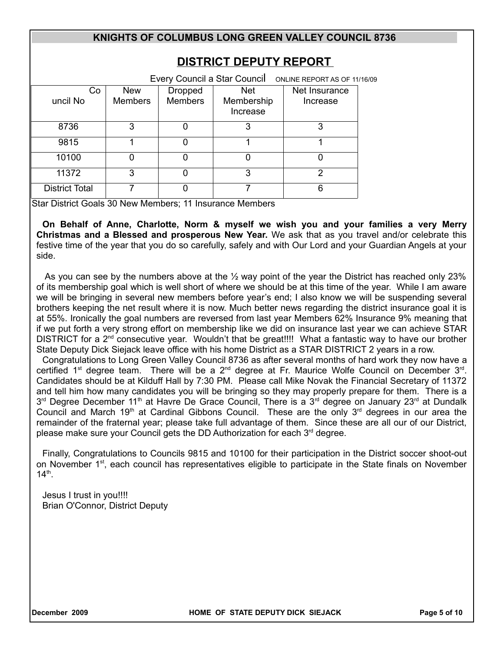| <b>DISTRICT DEPUTY REPORT</b><br>Every Council a Star Council |                              |                                  |                                      |                                                           |  |
|---------------------------------------------------------------|------------------------------|----------------------------------|--------------------------------------|-----------------------------------------------------------|--|
| Co<br>uncil No                                                | <b>New</b><br><b>Members</b> | <b>Dropped</b><br><b>Members</b> | <b>Net</b><br>Membership<br>Increase | ONLINE REPORT AS OF 11/16/09<br>Net Insurance<br>Increase |  |
| 8736                                                          | 3                            | 0                                | 3                                    | 3                                                         |  |
| 9815                                                          | 1                            | 0                                | 1                                    | 1                                                         |  |
| 10100                                                         | <sup>0</sup>                 | 0                                | 0                                    | 0                                                         |  |
| 11372                                                         | 3                            | 0                                | 3                                    | 2                                                         |  |
| <b>District Total</b>                                         | 7                            | ი                                | 7                                    | 6                                                         |  |

Star District Goals 30 New Members; 11 Insurance Members

**On Behalf of Anne, Charlotte, Norm & myself we wish you and your families a very Merry Christmas and a Blessed and prosperous New Year.** We ask that as you travel and/or celebrate this festive time of the year that you do so carefully, safely and with Our Lord and your Guardian Angels at your side.

As you can see by the numbers above at the  $\frac{1}{2}$  way point of the year the District has reached only 23% of its membership goal which is well short of where we should be at this time of the year. While I am aware we will be bringing in several new members before year's end; I also know we will be suspending several brothers keeping the net result where it is now. Much better news regarding the district insurance goal it is at 55%. Ironically the goal numbers are reversed from last year Members 62% Insurance 9% meaning that if we put forth a very strong effort on membership like we did on insurance last year we can achieve STAR DISTRICT for a 2<sup>nd</sup> consecutive year. Wouldn't that be great!!!! What a fantastic way to have our brother State Deputy Dick Siejack leave office with his home District as a STAR DISTRICT 2 years in a row.

Congratulations to Long Green Valley Council 8736 as after several months of hard work they now have a certified 1<sup>st</sup> degree team. There will be a 2<sup>nd</sup> degree at Fr. Maurice Wolfe Council on December 3<sup>rd</sup>. Candidates should be at Kilduff Hall by 7:30 PM. Please call Mike Novak the Financial Secretary of 11372 and tell him how many candidates you will be bringing so they may properly prepare for them. There is a 3<sup>rd</sup> Degree December 11<sup>th</sup> at Havre De Grace Council, There is a 3<sup>rd</sup> degree on January 23<sup>rd</sup> at Dundalk Council and March 19<sup>th</sup> at Cardinal Gibbons Council. These are the only  $3<sup>rd</sup>$  degrees in our area the remainder of the fraternal year; please take full advantage of them. Since these are all our of our District, please make sure your Council gets the DD Authorization for each  $3<sup>rd</sup>$  degree.

Finally, Congratulations to Councils 9815 and 10100 for their participation in the District soccer shoot-out on November  $1^{st}$ , each council has representatives eligible to participate in the State finals on November  $14^{\text{th}}$ .

Jesus I trust in you!!!! Brian O'Connor, District Deputy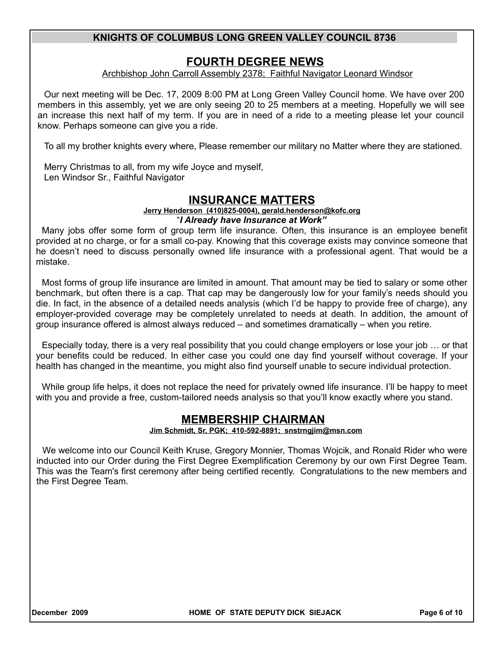# **FOURTH DEGREE NEWS**

Archbishop John Carroll Assembly 2378; Faithful Navigator Leonard Windsor

Our next meeting will be Dec. 17, 2009 8:00 PM at Long Green Valley Council home. We have over 200 members in this assembly, yet we are only seeing 20 to 25 members at a meeting. Hopefully we will see an increase this next half of my term. If you are in need of a ride to a meeting please let your council know. Perhaps someone can give you a ride.

To all my brother knights every where, Please remember our military no Matter where they are stationed.

Merry Christmas to all, from my wife Joyce and myself, Len Windsor Sr., Faithful Navigator

# **INSURANCE MATTERS**

#### **Jerry Henderson (410)825-0004), gerald.henderson@kofc.org** "*I Already have Insurance at Work"*

Many jobs offer some form of group term life insurance. Often, this insurance is an employee benefit provided at no charge, or for a small co-pay. Knowing that this coverage exists may convince someone that he doesn't need to discuss personally owned life insurance with a professional agent. That would be a mistake.

Most forms of group life insurance are limited in amount. That amount may be tied to salary or some other benchmark, but often there is a cap. That cap may be dangerously low for your family's needs should you die. In fact, in the absence of a detailed needs analysis (which I'd be happy to provide free of charge), any employer-provided coverage may be completely unrelated to needs at death. In addition, the amount of group insurance offered is almost always reduced – and sometimes dramatically – when you retire.

Especially today, there is a very real possibility that you could change employers or lose your job … or that your benefits could be reduced. In either case you could one day find yourself without coverage. If your health has changed in the meantime, you might also find yourself unable to secure individual protection.

While group life helps, it does not replace the need for privately owned life insurance. I'll be happy to meet with you and provide a free, custom-tailored needs analysis so that you'll know exactly where you stand.

# **MEMBERSHIP CHAIRMAN**

### **Jim Schmidt, Sr, PGK; 410-592-8891; snstrngjim@msn.com**

We welcome into our Council Keith Kruse, Gregory Monnier, Thomas Wojcik, and Ronald Rider who were inducted into our Order during the First Degree Exemplification Ceremony by our own First Degree Team. This was the Team's first ceremony after being certified recently. Congratulations to the new members and the First Degree Team.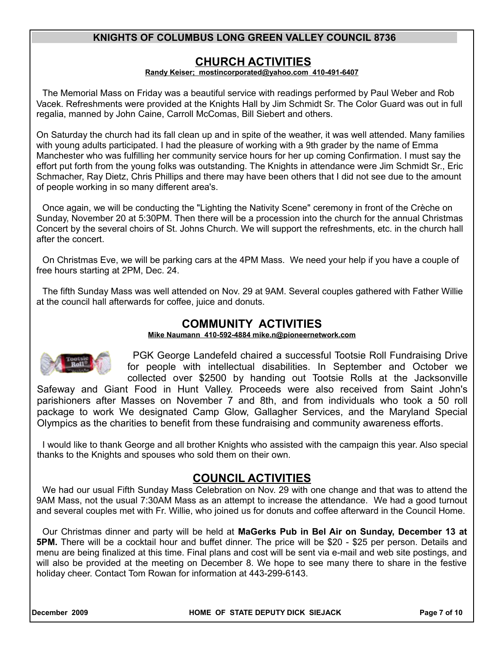# **CHURCH ACTIVITIES**

### **Randy Keiser; [mostincorporated@yahoo.com](mailto:mostincorporated@yahoo.com) 410-491-6407**

The Memorial Mass on Friday was a beautiful service with readings performed by Paul Weber and Rob Vacek. Refreshments were provided at the Knights Hall by Jim Schmidt Sr. The Color Guard was out in full regalia, manned by John Caine, Carroll McComas, Bill Siebert and others.

On Saturday the church had its fall clean up and in spite of the weather, it was well attended. Many families with young adults participated. I had the pleasure of working with a 9th grader by the name of Emma Manchester who was fulfilling her community service hours for her up coming Confirmation. I must say the effort put forth from the young folks was outstanding. The Knights in attendance were Jim Schmidt Sr., Eric Schmacher, Ray Dietz, Chris Phillips and there may have been others that I did not see due to the amount of people working in so many different area's.

Once again, we will be conducting the "Lighting the Nativity Scene" ceremony in front of the Crèche on Sunday, November 20 at 5:30PM. Then there will be a procession into the church for the annual Christmas Concert by the several choirs of St. Johns Church. We will support the refreshments, etc. in the church hall after the concert.

On Christmas Eve, we will be parking cars at the 4PM Mass. We need your help if you have a couple of free hours starting at 2PM, Dec. 24.

The fifth Sunday Mass was well attended on Nov. 29 at 9AM. Several couples gathered with Father Willie at the council hall afterwards for coffee, juice and donuts.

# **COMMUNITY ACTIVITIES**

 **Mike Naumann 410-592-4884 mike.n@pioneernetwork.com**



PGK George Landefeld chaired a successful Tootsie Roll Fundraising Drive for people with intellectual disabilities. In September and October we collected over \$2500 by handing out Tootsie Rolls at the Jacksonville

Safeway and Giant Food in Hunt Valley. Proceeds were also received from Saint John's parishioners after Masses on November 7 and 8th, and from individuals who took a 50 roll package to work We designated Camp Glow, Gallagher Services, and the Maryland Special Olympics as the charities to benefit from these fundraising and community awareness efforts.

I would like to thank George and all brother Knights who assisted with the campaign this year. Also special thanks to the Knights and spouses who sold them on their own.

# **COUNCIL ACTIVITIES**

We had our usual Fifth Sunday Mass Celebration on Nov. 29 with one change and that was to attend the 9AM Mass, not the usual 7:30AM Mass as an attempt to increase the attendance. We had a good turnout and several couples met with Fr. Willie, who joined us for donuts and coffee afterward in the Council Home.

Our Christmas dinner and party will be held at **MaGerks Pub in Bel Air on Sunday, December 13 at 5PM.** There will be a cocktail hour and buffet dinner. The price will be \$20 - \$25 per person. Details and menu are being finalized at this time. Final plans and cost will be sent via e-mail and web site postings, and will also be provided at the meeting on December 8. We hope to see many there to share in the festive holiday cheer. Contact Tom Rowan for information at 443-299-6143.

**December 2009 HOME OF STATE DEPUTY DICK SIEJACK Page 7 of 10**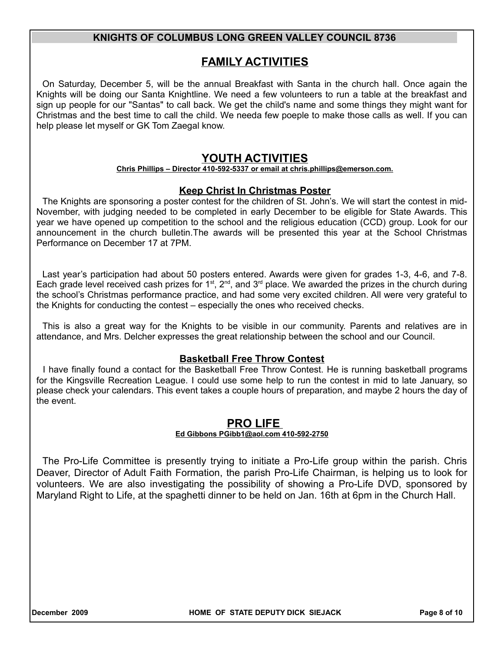# **FAMILY ACTIVITIES**

On Saturday, December 5, will be the annual Breakfast with Santa in the church hall. Once again the Knights will be doing our Santa Knightline. We need a few volunteers to run a table at the breakfast and sign up people for our "Santas" to call back. We get the child's name and some things they might want for Christmas and the best time to call the child. We needa few poeple to make those calls as well. If you can help please let myself or GK Tom Zaegal know.

# **YOUTH ACTIVITIES**

### **Chris Phillips – Director 410-592-5337 or email at chris.phillips@emerson.com.**

### **Keep Christ In Christmas Poster**

The Knights are sponsoring a poster contest for the children of St. John's. We will start the contest in mid-November, with judging needed to be completed in early December to be eligible for State Awards. This year we have opened up competition to the school and the religious education (CCD) group. Look for our announcement in the church bulletin.The awards will be presented this year at the School Christmas Performance on December 17 at 7PM.

Last year's participation had about 50 posters entered. Awards were given for grades 1-3, 4-6, and 7-8. Each grade level received cash prizes for 1<sup>st</sup>, 2<sup>nd</sup>, and 3<sup>rd</sup> place. We awarded the prizes in the church during the school's Christmas performance practice, and had some very excited children. All were very grateful to the Knights for conducting the contest – especially the ones who received checks.

This is also a great way for the Knights to be visible in our community. Parents and relatives are in attendance, and Mrs. Delcher expresses the great relationship between the school and our Council.

## **Basketball Free Throw Contest**

I have finally found a contact for the Basketball Free Throw Contest. He is running basketball programs for the Kingsville Recreation League. I could use some help to run the contest in mid to late January, so please check your calendars. This event takes a couple hours of preparation, and maybe 2 hours the day of the event.

## **PRO LIFE**

### **Ed Gibbons PGibb1@aol.com 410-592-2750**

The Pro-Life Committee is presently trying to initiate a Pro-Life group within the parish. Chris Deaver, Director of Adult Faith Formation, the parish Pro-Life Chairman, is helping us to look for volunteers. We are also investigating the possibility of showing a Pro-Life DVD, sponsored by Maryland Right to Life, at the spaghetti dinner to be held on Jan. 16th at 6pm in the Church Hall.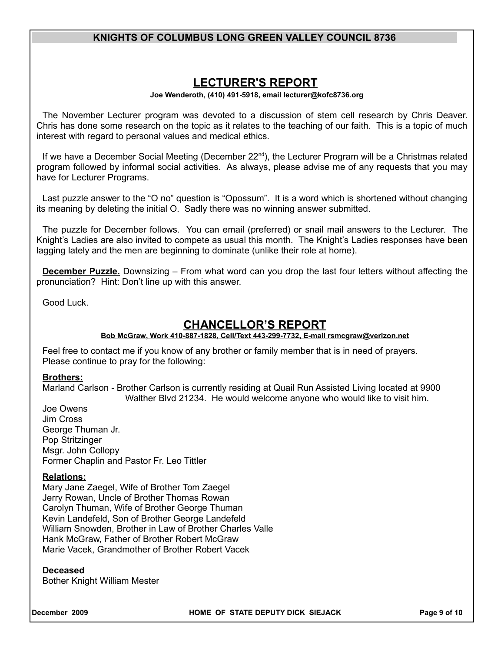# **LECTURER'S REPORT**

### **Joe Wenderoth, (410) 491-5918, email lecturer@kofc8736.org**

The November Lecturer program was devoted to a discussion of stem cell research by Chris Deaver. Chris has done some research on the topic as it relates to the teaching of our faith. This is a topic of much interest with regard to personal values and medical ethics.

If we have a December Social Meeting (December  $22<sup>nd</sup>$ ), the Lecturer Program will be a Christmas related program followed by informal social activities. As always, please advise me of any requests that you may have for Lecturer Programs.

Last puzzle answer to the "O no" question is "Opossum". It is a word which is shortened without changing its meaning by deleting the initial O. Sadly there was no winning answer submitted.

The puzzle for December follows. You can email (preferred) or snail mail answers to the Lecturer. The Knight's Ladies are also invited to compete as usual this month. The Knight's Ladies responses have been lagging lately and the men are beginning to dominate (unlike their role at home).

**December Puzzle.** Downsizing – From what word can you drop the last four letters without affecting the pronunciation? Hint: Don't line up with this answer.

Good Luck.

# **CHANCELLOR'S REPORT**

### **Bob McGraw, Work 410-887-1828, Cell/Text 443-299-7732, E-mail rsmcgraw@verizon.net**

Feel free to contact me if you know of any brother or family member that is in need of prayers. Please continue to pray for the following:

### **Brothers:**

Marland Carlson - Brother Carlson is currently residing at Quail Run Assisted Living located at 9900 Walther Blvd 21234. He would welcome anyone who would like to visit him.

Joe Owens Jim Cross George Thuman Jr. Pop Stritzinger Msgr. John Collopy Former Chaplin and Pastor Fr. Leo Tittler

### **Relations:**

Mary Jane Zaegel, Wife of Brother Tom Zaegel Jerry Rowan, Uncle of Brother Thomas Rowan Carolyn Thuman, Wife of Brother George Thuman Kevin Landefeld, Son of Brother George Landefeld William Snowden, Brother in Law of Brother Charles Valle Hank McGraw, Father of Brother Robert McGraw Marie Vacek, Grandmother of Brother Robert Vacek

### **Deceased**

Bother Knight William Mester

**December 2009 HOME OF STATE DEPUTY DICK SIEJACK Page 9 of 10**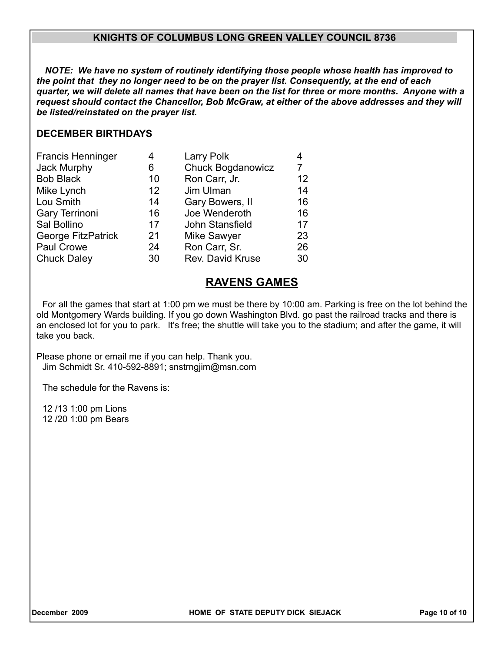*NOTE: We have no system of routinely identifying those people whose health has improved to the point that they no longer need to be on the prayer list. Consequently, at the end of each quarter, we will delete all names that have been on the list for three or more months. Anyone with a request should contact the Chancellor, Bob McGraw, at either of the above addresses and they will be listed/reinstated on the prayer list.*

## **DECEMBER BIRTHDAYS**

| <b>Francis Henninger</b>  | 4                 | Larry Polk               | 4  |
|---------------------------|-------------------|--------------------------|----|
| Jack Murphy               | 6                 | <b>Chuck Bogdanowicz</b> |    |
| <b>Bob Black</b>          | 10 <sup>°</sup>   | Ron Carr, Jr.            | 12 |
| Mike Lynch                | $12 \overline{ }$ | Jim Ulman                | 14 |
| Lou Smith                 | 14                | Gary Bowers, II          | 16 |
| Gary Terrinoni            | 16                | Joe Wenderoth            | 16 |
| Sal Bollino               | 17                | John Stansfield          | 17 |
| <b>George FitzPatrick</b> | 21                | <b>Mike Sawyer</b>       | 23 |
| Paul Crowe                | 24                | Ron Carr, Sr.            | 26 |
| <b>Chuck Daley</b>        | 30                | Rev. David Kruse         | 30 |

# **RAVENS GAMES**

For all the games that start at 1:00 pm we must be there by 10:00 am. Parking is free on the lot behind the old Montgomery Wards building. If you go down Washington Blvd. go past the railroad tracks and there is an enclosed lot for you to park. It's free; the shuttle will take you to the stadium; and after the game, it will take you back.

Please phone or email me if you can help. Thank you. Jim Schmidt Sr. 410-592-8891; snstrngjim@msn.com

The schedule for the Ravens is:

12 /13 1:00 pm Lions 12 /20 1:00 pm Bears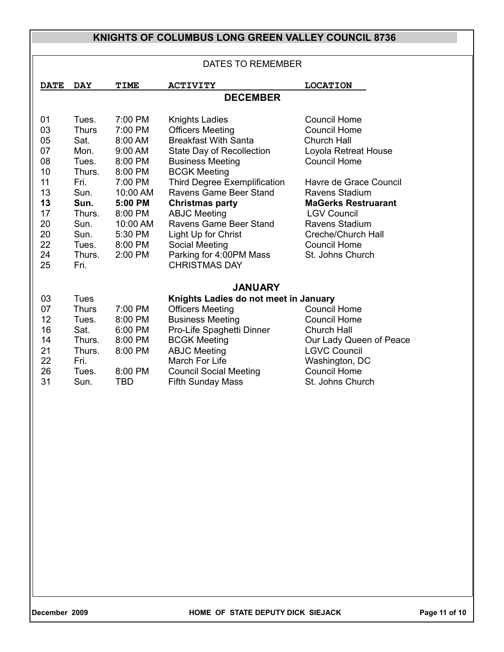| <b>DATES TO REMEMBER</b>                                                               |                                                                                                                                       |                                                                                                                                                          |                                                                                                                                                                                                                                                                                                                                                                                                        |                                                                                                                                                                                                                                                                                                    |  |  |  |
|----------------------------------------------------------------------------------------|---------------------------------------------------------------------------------------------------------------------------------------|----------------------------------------------------------------------------------------------------------------------------------------------------------|--------------------------------------------------------------------------------------------------------------------------------------------------------------------------------------------------------------------------------------------------------------------------------------------------------------------------------------------------------------------------------------------------------|----------------------------------------------------------------------------------------------------------------------------------------------------------------------------------------------------------------------------------------------------------------------------------------------------|--|--|--|
| <b>DATE</b>                                                                            | <b>DAY</b>                                                                                                                            | <b>TIME</b>                                                                                                                                              | <b>ACTIVITY</b>                                                                                                                                                                                                                                                                                                                                                                                        | <b>LOCATION</b>                                                                                                                                                                                                                                                                                    |  |  |  |
| <b>DECEMBER</b>                                                                        |                                                                                                                                       |                                                                                                                                                          |                                                                                                                                                                                                                                                                                                                                                                                                        |                                                                                                                                                                                                                                                                                                    |  |  |  |
| 01<br>03<br>05<br>07<br>08<br>10<br>11<br>13<br>13<br>17<br>20<br>20<br>22<br>24<br>25 | Tues.<br><b>Thurs</b><br>Sat.<br>Mon.<br>Tues.<br>Thurs.<br>Fri.<br>Sun.<br>Sun.<br>Thurs.<br>Sun.<br>Sun.<br>Tues.<br>Thurs.<br>Fri. | 7:00 PM<br>7:00 PM<br>8:00 AM<br>9:00 AM<br>8:00 PM<br>8:00 PM<br>7:00 PM<br>10:00 AM<br>5:00 PM<br>8:00 PM<br>10:00 AM<br>5:30 PM<br>8:00 PM<br>2:00 PM | <b>Knights Ladies</b><br><b>Officers Meeting</b><br><b>Breakfast With Santa</b><br>State Day of Recollection<br><b>Business Meeting</b><br><b>BCGK Meeting</b><br><b>Third Degree Exemplification</b><br>Ravens Game Beer Stand<br><b>Christmas party</b><br><b>ABJC Meeting</b><br>Ravens Game Beer Stand<br>Light Up for Christ<br>Social Meeting<br>Parking for 4:00PM Mass<br><b>CHRISTMAS DAY</b> | <b>Council Home</b><br><b>Council Home</b><br><b>Church Hall</b><br>Loyola Retreat House<br><b>Council Home</b><br>Havre de Grace Council<br>Ravens Stadium<br><b>MaGerks Restruarant</b><br><b>LGV Council</b><br>Ravens Stadium<br>Creche/Church Hall<br><b>Council Home</b><br>St. Johns Church |  |  |  |
| 03<br>07<br>12<br>16<br>14<br>21<br>22<br>26<br>31                                     | <b>Tues</b><br><b>Thurs</b><br>Tues.<br>Sat.<br>Thurs.<br>Thurs.<br>Fri.<br>Tues.<br>Sun.                                             | 7:00 PM<br>8:00 PM<br>6:00 PM<br>8:00 PM<br>8:00 PM<br>8:00 PM<br><b>TBD</b>                                                                             | <b>JANUARY</b><br>Knights Ladies do not meet in January<br><b>Officers Meeting</b><br><b>Business Meeting</b><br>Pro-Life Spaghetti Dinner<br><b>BCGK Meeting</b><br><b>ABJC Meeting</b><br>March For Life<br><b>Council Social Meeting</b><br><b>Fifth Sunday Mass</b>                                                                                                                                | <b>Council Home</b><br><b>Council Home</b><br><b>Church Hall</b><br>Our Lady Queen of Peace<br><b>LGVC Council</b><br>Washington, DC<br><b>Council Home</b><br>St. Johns Church                                                                                                                    |  |  |  |

December 2009 **home of STATE DEPUTY DICK SIEJACK** Page 11 of 10